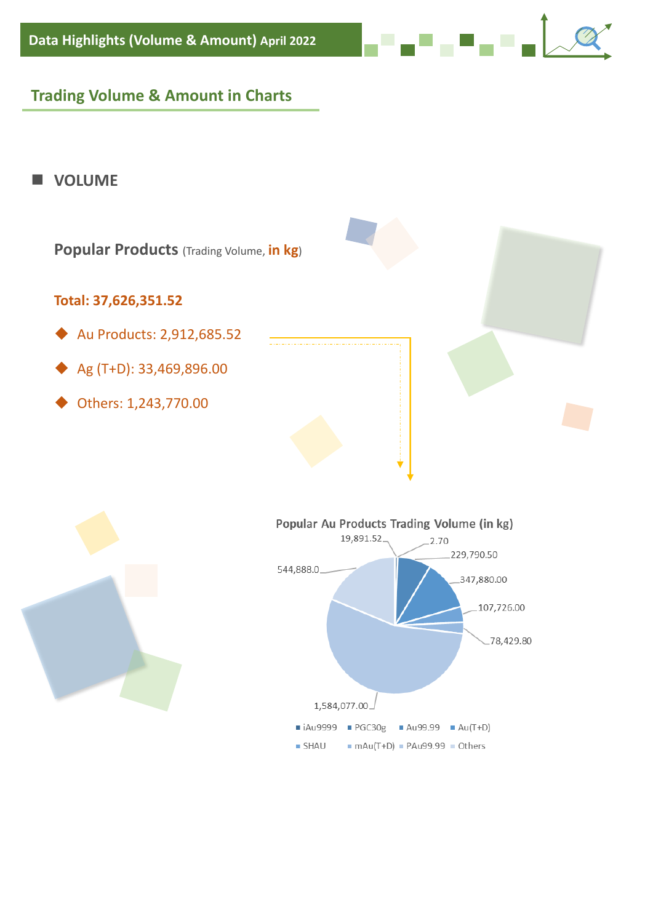## **Trading Volume & Amount in Charts**

### ■ **VOLUME**







. . . . .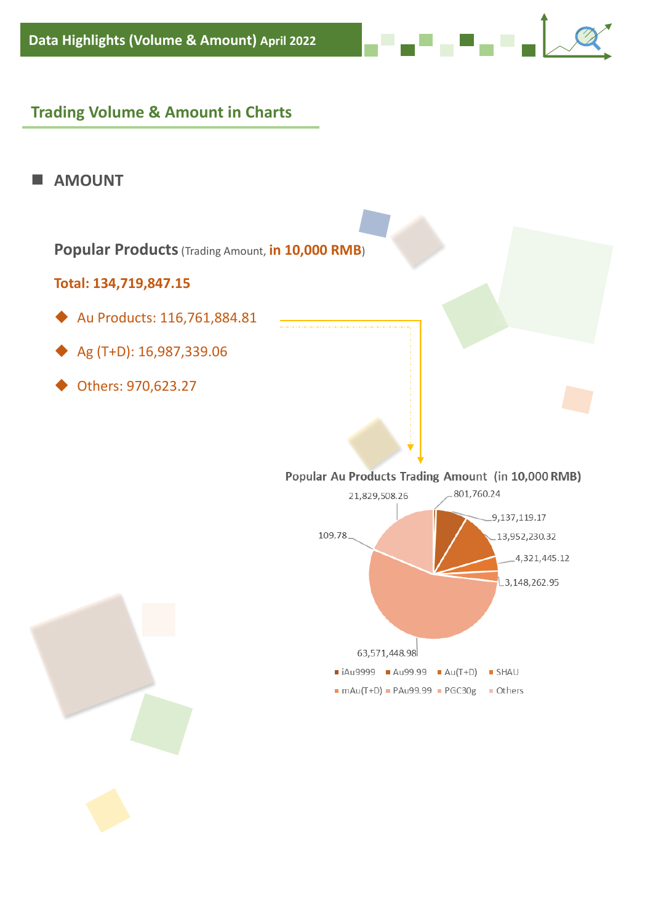### **Trading Volume & Amount in Charts**



**Popular Products**(Trading Amount, **in 10,000 RMB**)

#### **Total: 134,719,847.15**

◆ Au Products: 116,761,884.81

Ag (T+D): 16,987,339.06

◆ Others: 970,623.27

Popular Au Products Trading Amount (in 10,000 RMB)

والموالي الموارد



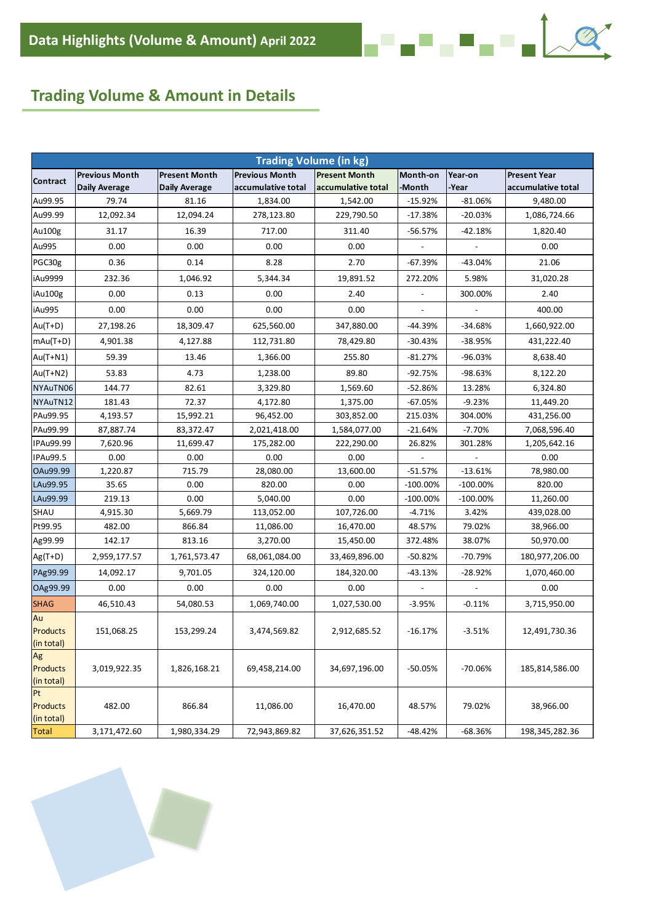# **Trading Volume & Amount in Details**

| <b>Trading Volume (in kg)</b> |                       |                      |                       |                      |             |                          |                     |
|-------------------------------|-----------------------|----------------------|-----------------------|----------------------|-------------|--------------------------|---------------------|
|                               | <b>Previous Month</b> | <b>Present Month</b> | <b>Previous Month</b> | <b>Present Month</b> | Month-on    | Year-on                  | <b>Present Year</b> |
| <b>Contract</b>               | <b>Daily Average</b>  | Daily Average        | accumulative total    | accumulative total   | -Month      | -Year                    | accumulative total  |
| Au99.95                       | 79.74                 | 81.16                | 1,834.00              | 1,542.00             | $-15.92%$   | $-81.06%$                | 9,480.00            |
| Au99.99                       | 12,092.34             | 12,094.24            | 278,123.80            | 229,790.50           | $-17.38%$   | $-20.03%$                | 1,086,724.66        |
| Au100g                        | 31.17                 | 16.39                | 717.00                | 311.40               | $-56.57%$   | $-42.18%$                | 1,820.40            |
| Au995                         | 0.00                  | 0.00                 | 0.00                  | 0.00                 |             |                          | 0.00                |
| PGC30g                        | 0.36                  | 0.14                 | 8.28                  | 2.70                 | $-67.39%$   | -43.04%                  | 21.06               |
| iAu9999                       | 232.36                | 1,046.92             | 5,344.34              | 19,891.52            | 272.20%     | 5.98%                    | 31,020.28           |
| iAu100g                       | 0.00                  | 0.13                 | 0.00                  | 2.40                 |             | 300.00%                  | 2.40                |
| iAu995                        | 0.00                  | 0.00                 | 0.00                  | 0.00                 |             | $\overline{\phantom{a}}$ | 400.00              |
| Au(T+D)                       | 27,198.26             | 18,309.47            | 625,560.00            | 347,880.00           | $-44.39%$   | $-34.68%$                | 1,660,922.00        |
| $mAu(T+D)$                    | 4,901.38              | 4,127.88             | 112,731.80            | 78,429.80            | $-30.43%$   | -38.95%                  | 431,222.40          |
| Au(T+N1)                      | 59.39                 | 13.46                | 1,366.00              | 255.80               | $-81.27%$   | -96.03%                  | 8,638.40            |
| Au(T+N2)                      | 53.83                 | 4.73                 | 1,238.00              | 89.80                | $-92.75%$   | $-98.63%$                | 8,122.20            |
| NYAuTN06                      | 144.77                | 82.61                | 3,329.80              | 1,569.60             | $-52.86%$   | 13.28%                   | 6,324.80            |
| NYAuTN12                      | 181.43                | 72.37                | 4,172.80              | 1,375.00             | $-67.05%$   | $-9.23%$                 | 11,449.20           |
| PAu99.95                      | 4,193.57              | 15,992.21            | 96,452.00             | 303,852.00           | 215.03%     | 304.00%                  | 431,256.00          |
| PAu99.99                      | 87,887.74             | 83,372.47            | 2,021,418.00          | 1,584,077.00         | $-21.64%$   | $-7.70%$                 | 7,068,596.40        |
| IPAu99.99                     | 7,620.96              | 11,699.47            | 175,282.00            | 222,290.00           | 26.82%      | 301.28%                  | 1,205,642.16        |
| IPAu99.5                      | 0.00                  | 0.00                 | 0.00                  | 0.00                 |             |                          | 0.00                |
| OAu99.99                      | 1,220.87              | 715.79               | 28,080.00             | 13,600.00            | $-51.57%$   | $-13.61%$                | 78,980.00           |
| LAu99.95                      | 35.65                 | 0.00                 | 820.00                | 0.00                 | $-100.00\%$ | $-100.00\%$              | 820.00              |
| LAu99.99                      | 219.13                | 0.00                 | 5,040.00              | 0.00                 | -100.00%    | -100.00%                 | 11,260.00           |
| SHAU                          | 4,915.30              | 5,669.79             | 113,052.00            | 107,726.00           | $-4.71%$    | 3.42%                    | 439,028.00          |
| Pt99.95                       | 482.00                | 866.84               | 11,086.00             | 16,470.00            | 48.57%      | 79.02%                   | 38,966.00           |
| Ag99.99                       | 142.17                | 813.16               | 3,270.00              | 15,450.00            | 372.48%     | 38.07%                   | 50,970.00           |
| $Ag(T+D)$                     | 2,959,177.57          | 1,761,573.47         | 68,061,084.00         | 33,469,896.00        | $-50.82%$   | $-70.79%$                | 180,977,206.00      |
| PAg99.99                      | 14,092.17             | 9,701.05             | 324,120.00            | 184,320.00           | $-43.13%$   | $-28.92%$                | 1,070,460.00        |
| OAg99.99                      | 0.00                  | 0.00                 | 0.00                  | 0.00                 |             |                          | 0.00                |
| <b>SHAG</b>                   | 46,510.43             | 54,080.53            | 1,069,740.00          | 1,027,530.00         | $-3.95%$    | $-0.11%$                 | 3,715,950.00        |
| Au                            |                       |                      |                       |                      |             |                          |                     |
| Products                      | 151,068.25            | 153,299.24           | 3,474,569.82          | 2,912,685.52         | $-16.17%$   | $-3.51%$                 | 12,491,730.36       |
| (in total)                    |                       |                      |                       |                      |             |                          |                     |
| Ag                            |                       |                      |                       |                      |             |                          |                     |
| Products                      | 3,019,922.35          | 1,826,168.21         | 69,458,214.00         | 34,697,196.00        | $-50.05%$   | $-70.06%$                | 185,814,586.00      |
| (in total)<br>Pt              |                       |                      |                       |                      |             |                          |                     |
| Products                      | 482.00                | 866.84               | 11,086.00             | 16,470.00            | 48.57%      | 79.02%                   | 38,966.00           |
| (in total)                    |                       |                      |                       |                      |             |                          |                     |
| <b>Total</b>                  | 3,171,472.60          | 1,980,334.29         | 72,943,869.82         | 37,626,351.52        | $-48.42%$   | $-68.36%$                | 198, 345, 282. 36   |

<mark>▄▀▗▞▘▖▀▗</mark>▝▗▐▁

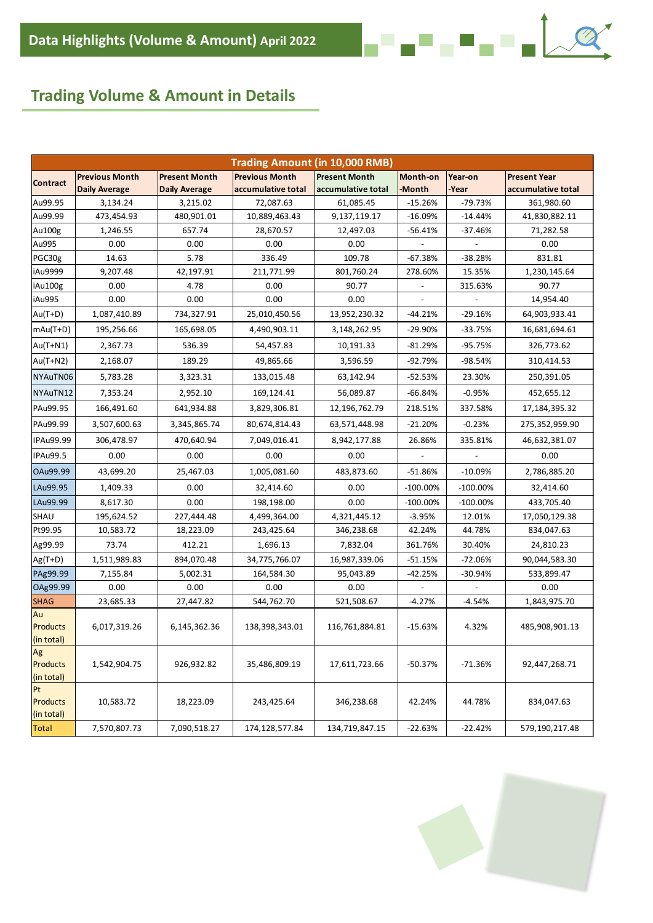# **Trading Volume & Amount in Details**

|                        |                       |                      | <b>Trading Amount (in 10,000 RMB)</b> |                      |             |                              |                     |
|------------------------|-----------------------|----------------------|---------------------------------------|----------------------|-------------|------------------------------|---------------------|
| <b>Contract</b>        | <b>Previous Month</b> | <b>Present Month</b> | <b>Previous Month</b>                 | <b>Present Month</b> | Month-on    | Year-on                      | <b>Present Year</b> |
|                        | <b>Daily Average</b>  | <b>Daily Average</b> | accumulative total                    | accumulative total   | Month-      | -Year                        | accumulative total  |
| Au99.95                | 3,134.24              | 3,215.02             | 72,087.63                             | 61,085.45            | $-15.26%$   | $-79.73%$                    | 361,980.60          |
| Au99.99                | 473,454.93            | 480,901.01           | 10,889,463.43                         | 9,137,119.17         | $-16.09%$   | $-14.44%$                    | 41,830,882.11       |
| Au100g                 | 1,246.55              | 657.74               | 28,670.57                             | 12,497.03            | -56.41%     | $-37.46%$                    | 71,282.58           |
| Au995                  | 0.00                  | 0.00                 | 0.00                                  | 0.00                 |             |                              | 0.00                |
| PGC30g                 | 14.63                 | 5.78                 | 336.49                                | 109.78               | $-67.38%$   | $-38.28%$                    | 831.81              |
| iAu9999                | 9,207.48              | 42,197.91            | 211,771.99                            | 801,760.24           | 278.60%     | 15.35%                       | 1,230,145.64        |
| iAu100g                | 0.00                  | 4.78                 | 0.00                                  | 90.77                |             | 315.63%                      | 90.77               |
| iAu995                 | 0.00                  | 0.00                 | 0.00                                  | 0.00                 |             |                              | 14,954.40           |
| Au(T+D)                | 1,087,410.89          | 734,327.91           | 25,010,450.56                         | 13,952,230.32        | -44.21%     | $-29.16%$                    | 64,903,933.41       |
| $\text{mAu(T+D)}$      | 195,256.66            | 165,698.05           | 4,490,903.11                          | 3,148,262.95         | -29.90%     | $-33.75%$                    | 16,681,694.61       |
| $Au(T+N1)$             | 2,367.73              | 536.39               | 54,457.83                             | 10,191.33            | $-81.29%$   | $-95.75%$                    | 326,773.62          |
| $Au(T+N2)$             | 2,168.07              | 189.29               | 49,865.66                             | 3,596.59             | $-92.79%$   | $-98.54%$                    | 310,414.53          |
| NYAuTN06               | 5,783.28              | 3,323.31             | 133,015.48                            | 63,142.94            | $-52.53%$   | 23.30%                       | 250,391.05          |
| NYAuTN12               | 7,353.24              | 2,952.10             | 169,124.41                            | 56,089.87            | $-66.84%$   | $-0.95%$                     | 452,655.12          |
| PAu99.95               | 166,491.60            | 641,934.88           | 3,829,306.81                          | 12,196,762.79        | 218.51%     | 337.58%                      | 17, 184, 395. 32    |
| PAu99.99               | 3,507,600.63          | 3,345,865.74         | 80,674,814.43                         | 63,571,448.98        | $-21.20%$   | $-0.23%$                     | 275,352,959.90      |
| IPAu99.99              | 306,478.97            | 470,640.94           | 7,049,016.41                          | 8,942,177.88         | 26.86%      | 335.81%                      | 46,632,381.07       |
| IPAu99.5               | 0.00                  | 0.00                 | 0.00                                  | 0.00                 |             | $\qquad \qquad \blacksquare$ | 0.00                |
| OAu99.99               | 43,699.20             | 25,467.03            | 1,005,081.60                          | 483,873.60           | $-51.86%$   | $-10.09%$                    | 2,786,885.20        |
| LAu99.95               | 1,409.33              | 0.00                 | 32,414.60                             | 0.00                 | $-100.00\%$ | $-100.00\%$                  | 32,414.60           |
| LAu99.99               | 8,617.30              | 0.00                 | 198,198.00                            | 0.00                 | $-100.00\%$ | $-100.00\%$                  | 433,705.40          |
| SHAU                   | 195,624.52            | 227,444.48           | 4,499,364.00                          | 4,321,445.12         | $-3.95%$    | 12.01%                       | 17,050,129.38       |
| Pt99.95                | 10,583.72             | 18,223.09            | 243,425.64                            | 346,238.68           | 42.24%      | 44.78%                       | 834,047.63          |
| Ag99.99                | 73.74                 | 412.21               | 1,696.13                              | 7,832.04             | 361.76%     | 30.40%                       | 24,810.23           |
| $Ag(T+D)$              | 1,511,989.83          | 894,070.48           | 34,775,766.07                         | 16,987,339.06        | $-51.15%$   | $-72.06%$                    | 90,044,583.30       |
| PAg99.99               | 7,155.84              | 5,002.31             | 164,584.30                            | 95,043.89            | $-42.25%$   | $-30.94%$                    | 533,899.47          |
| OAg99.99               | 0.00                  | 0.00                 | 0.00                                  | 0.00                 |             |                              | 0.00                |
| <b>SHAG</b>            | 23,685.33             | 27,447.82            | 544,762.70                            | 521,508.67           | $-4.27%$    | $-4.54%$                     | 1,843,975.70        |
| Au                     |                       |                      |                                       |                      |             |                              |                     |
| Products               | 6,017,319.26          | 6,145,362.36         | 138,398,343.01                        | 116,761,884.81       | $-15.63%$   | 4.32%                        | 485,908,901.13      |
| (in total)             |                       |                      |                                       |                      |             |                              |                     |
| Ag                     |                       |                      |                                       | 17,611,723.66        |             |                              |                     |
| Products<br>(in total) | 1,542,904.75          | 926,932.82           | 35,486,809.19                         |                      | $-50.37%$   | $-71.36%$                    | 92,447,268.71       |
| Pt                     |                       |                      |                                       |                      |             |                              |                     |
| Products               | 10,583.72             | 18,223.09            | 243,425.64                            | 346,238.68           | 42.24%      | 44.78%                       | 834,047.63          |
| (in total)             |                       |                      |                                       |                      |             |                              |                     |
| Total                  | 7,570,807.73          | 7,090,518.27         | 174, 128, 577.84                      | 134,719,847.15       | $-22.63%$   | $-22.42%$                    | 579,190,217.48      |



<mark>▄▀▗▞▚▞▚▞▗</mark>▕▁